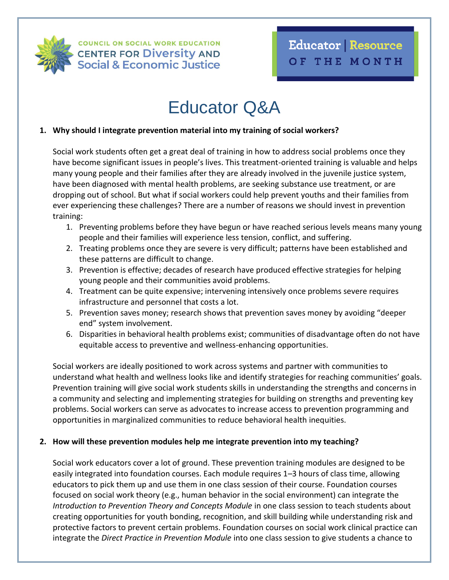

**COUNCIL ON SOCIAL WORK EDUCATION CENTER FOR Diversity AND Social & Economic Justice** 

# Educator Q&A

## **1. Why should I integrate prevention material into my training of social workers?**

Social work students often get a great deal of training in how to address social problems once they have become significant issues in people's lives. This treatment-oriented training is valuable and helps many young people and their families after they are already involved in the juvenile justice system, have been diagnosed with mental health problems, are seeking substance use treatment, or are dropping out of school. But what if social workers could help prevent youths and their families from ever experiencing these challenges? There are a number of reasons we should invest in prevention training:

- 1. Preventing problems before they have begun or have reached serious levels means many young people and their families will experience less tension, conflict, and suffering.
- 2. Treating problems once they are severe is very difficult; patterns have been established and these patterns are difficult to change.
- 3. Prevention is effective; decades of research have produced effective strategies for helping young people and their communities avoid problems.
- 4. Treatment can be quite expensive; intervening intensively once problems severe requires infrastructure and personnel that costs a lot.
- 5. Prevention saves money; research shows that prevention saves money by avoiding "deeper end" system involvement.
- 6. Disparities in behavioral health problems exist; communities of disadvantage often do not have equitable access to preventive and wellness-enhancing opportunities.

Social workers are ideally positioned to work across systems and partner with communities to understand what health and wellness looks like and identify strategies for reaching communities' goals. Prevention training will give social work students skills in understanding the strengths and concerns in a community and selecting and implementing strategies for building on strengths and preventing key problems. Social workers can serve as advocates to increase access to prevention programming and opportunities in marginalized communities to reduce behavioral health inequities.

## **2. How will these prevention modules help me integrate prevention into my teaching?**

Social work educators cover a lot of ground. These prevention training modules are designed to be easily integrated into foundation courses. Each module requires 1–3 hours of class time, allowing educators to pick them up and use them in one class session of their course. Foundation courses focused on social work theory (e.g., human behavior in the social environment) can integrate the *Introduction to Prevention Theory and Concepts Module* in one class session to teach students about creating opportunities for youth bonding, recognition, and skill building while understanding risk and protective factors to prevent certain problems. Foundation courses on social work clinical practice can integrate the *Direct Practice in Prevention Module* into one class session to give students a chance to